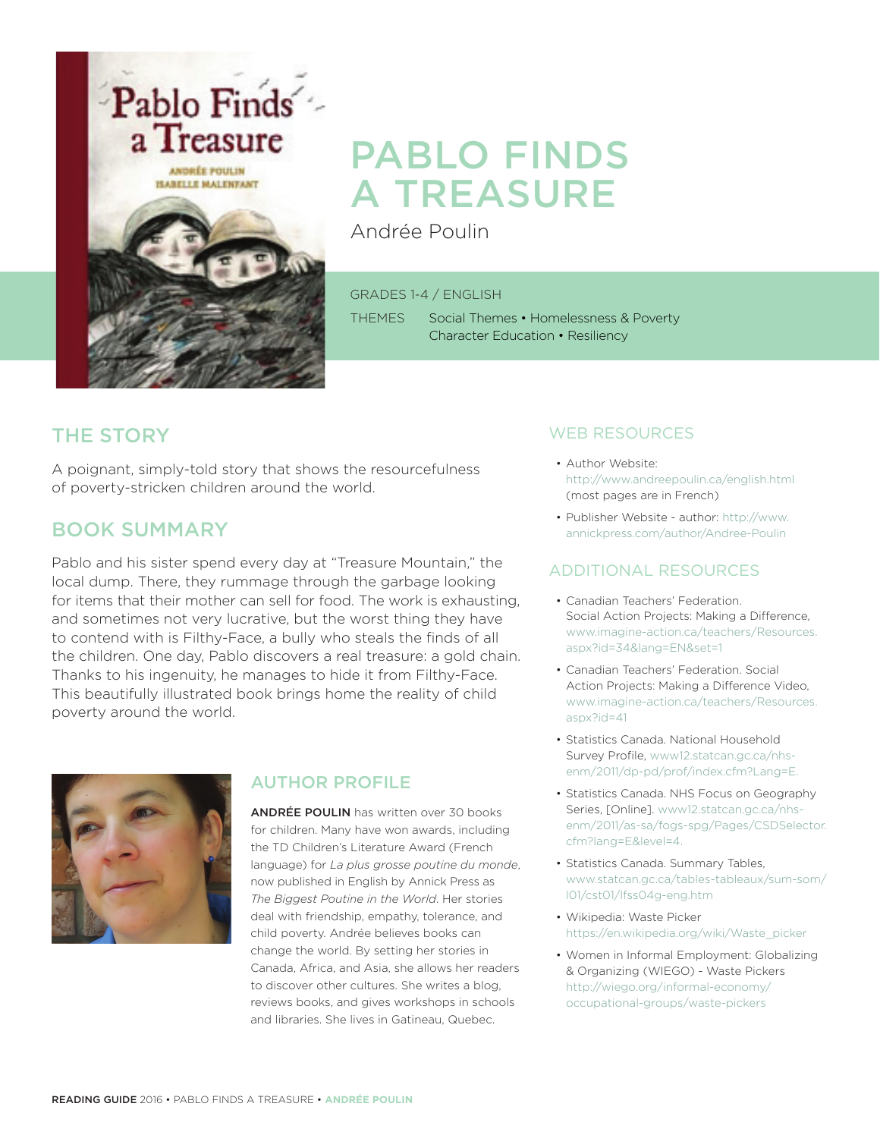

# PABLO FINDS A TREASURE

Andrée Poulin

GRADES 1-4 / ENGLISH

THEMES Social Themes • Homelessness & Poverty Character Education • Resiliency

## THE STORY

A poignant, simply-told story that shows the resourcefulness of poverty-stricken children around the world.

## BOOK SUMMARY

Pablo and his sister spend every day at "Treasure Mountain," the local dump. There, they rummage through the garbage looking for items that their mother can sell for food. The work is exhausting, and sometimes not very lucrative, but the worst thing they have to contend with is Filthy-Face, a bully who steals the finds of all the children. One day, Pablo discovers a real treasure: a gold chain. Thanks to his ingenuity, he manages to hide it from Filthy-Face. This beautifully illustrated book brings home the reality of child poverty around the world.



## AUTHOR PROFILE

ANDRÉE POULIN has written over 30 books for children. Many have won awards, including the TD Children's Literature Award (French language) for *La plus grosse poutine du monde*, now published in English by Annick Press as *The Biggest Poutine in the World*. Her stories deal with friendship, empathy, tolerance, and child poverty. Andrée believes books can change the world. By setting her stories in Canada, Africa, and Asia, she allows her readers to discover other cultures. She writes a blog, reviews books, and gives workshops in schools and libraries. She lives in Gatineau, Quebec.

## WEB RESOURCES

- Author Website: http://www.andreepoulin.ca/english.html (most pages are in French)
- Publisher Website author: http://www. annickpress.com/author/Andree-Poulin

### ADDITIONAL RESOURCES

- Canadian Teachers' Federation. Social Action Projects: Making a Difference, www.imagine-action.ca/teachers/Resources. aspx?id=34&lang=EN&set=1
- Canadian Teachers' Federation. Social Action Projects: Making a Difference Video, www.imagine-action.ca/teachers/Resources. aspx?id=41
- Statistics Canada. National Household Survey Profile, www12.statcan.gc.ca/nhsenm/2011/dp-pd/prof/index.cfm?Lang=E.
- Statistics Canada. NHS Focus on Geography Series, [Online]. www12.statcan.gc.ca/nhsenm/2011/as-sa/fogs-spg/Pages/CSDSelector. cfm?lang=E&level=4.
- Statistics Canada. Summary Tables, www.statcan.gc.ca/tables-tableaux/sum-som/ l01/cst01/lfss04g-eng.htm
- Wikipedia: Waste Picker https://en.wikipedia.org/wiki/Waste\_picker
- Women in Informal Employment: Globalizing & Organizing (WIEGO) - Waste Pickers http://wiego.org/informal-economy/ occupational-groups/waste-pickers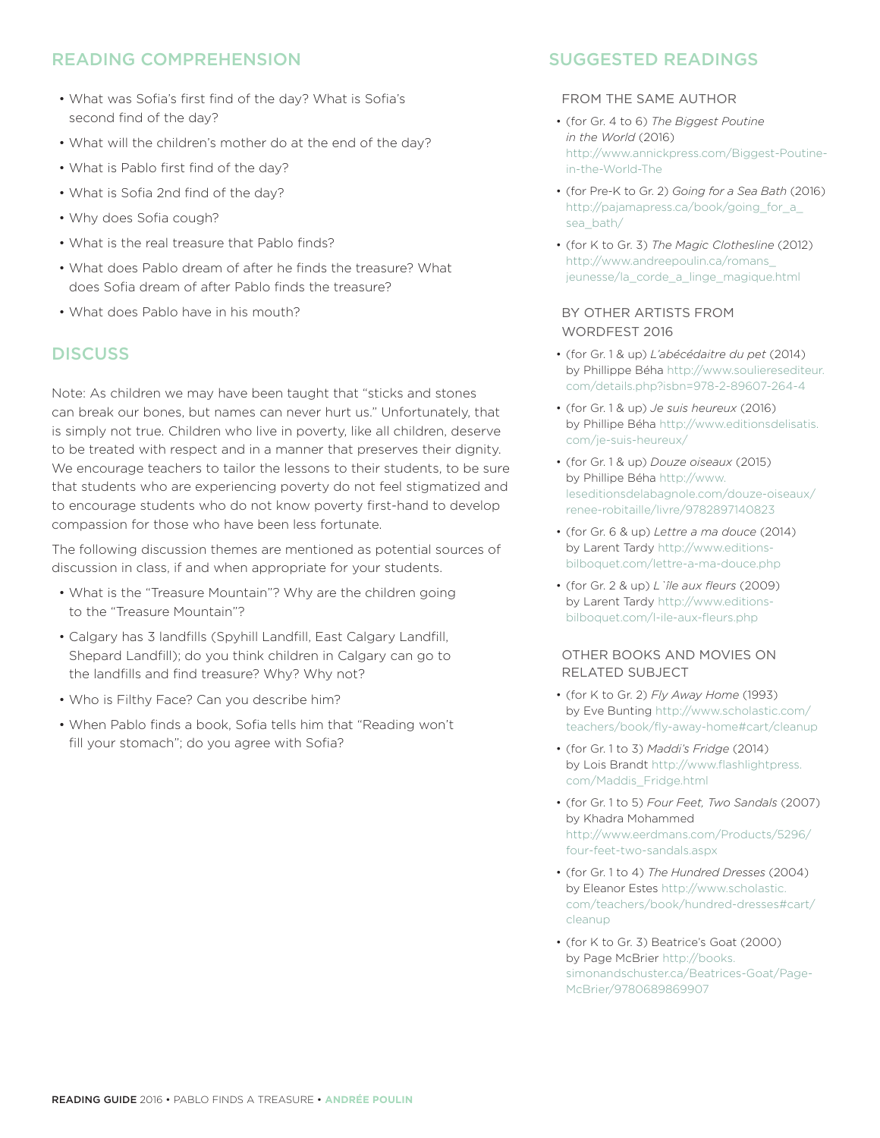## READING COMPREHENSION

- What was Sofia's first find of the day? What is Sofia's second find of the day?
- What will the children's mother do at the end of the day?
- What is Pablo first find of the day?
- What is Sofia 2nd find of the day?
- Why does Sofia cough?
- What is the real treasure that Pablo finds?
- What does Pablo dream of after he finds the treasure? What does Sofia dream of after Pablo finds the treasure?
- What does Pablo have in his mouth?

#### **DISCUSS**

Note: As children we may have been taught that "sticks and stones can break our bones, but names can never hurt us." Unfortunately, that is simply not true. Children who live in poverty, like all children, deserve to be treated with respect and in a manner that preserves their dignity. We encourage teachers to tailor the lessons to their students, to be sure that students who are experiencing poverty do not feel stigmatized and to encourage students who do not know poverty first-hand to develop compassion for those who have been less fortunate.

The following discussion themes are mentioned as potential sources of discussion in class, if and when appropriate for your students.

- What is the "Treasure Mountain"? Why are the children going to the "Treasure Mountain"?
- Calgary has 3 landfills (Spyhill Landfill, East Calgary Landfill, Shepard Landfill); do you think children in Calgary can go to the landfills and find treasure? Why? Why not?
- Who is Filthy Face? Can you describe him?
- When Pablo finds a book, Sofia tells him that "Reading won't fill your stomach"; do you agree with Sofia?

### SUGGESTED READINGS

#### FROM THE SAME AUTHOR

- (for Gr. 4 to 6) *The Biggest Poutine in the World* (2016) http://www.annickpress.com/Biggest-Poutinein-the-World-The
- (for Pre-K to Gr. 2) *Going for a Sea Bath* (2016) http://pajamapress.ca/book/going\_for\_a\_ sea\_bath/
- (for K to Gr. 3) *The Magic Clothesline* (2012) http://www.andreepoulin.ca/romans\_ jeunesse/la\_corde\_a\_linge\_magique.html

#### BY OTHER ARTISTS FROM WORDFEST 2016

- (for Gr. 1 & up) *L'abécédaitre du pet* (2014) by Phillippe Béha http://www.soulieresediteur. com/details.php?isbn=978-2-89607-264-4
- (for Gr. 1 & up) *Je suis heureux* (2016) by Phillipe Béha http://www.editionsdelisatis. com/je-suis-heureux/
- (for Gr. 1 & up) *Douze oiseaux* (2015) by Phillipe Béha http://www. leseditionsdelabagnole.com/douze-oiseaux/ renee-robitaille/livre/9782897140823
- (for Gr. 6 & up) *Lettre a ma douce* (2014) by Larent Tardy http://www.editionsbilboquet.com/lettre-a-ma-douce.php
- (for Gr. 2 & up) *L`île aux fleurs* (2009) by Larent Tardy http://www.editionsbilboquet.com/l-ile-aux-fleurs.php

#### OTHER BOOKS AND MOVIES ON RELATED SUBJECT

- (for K to Gr. 2) *Fly Away Home* (1993) by Eve Bunting http://www.scholastic.com/ teachers/book/fly-away-home#cart/cleanup
- (for Gr. 1 to 3) *Maddi's Fridge* (2014) by Lois Brandt http://www.flashlightpress. com/Maddis\_Fridge.html
- (for Gr. 1 to 5) *Four Feet, Two Sandals* (2007) by Khadra Mohammed http://www.eerdmans.com/Products/5296/ four-feet-two-sandals.aspx
- (for Gr. 1 to 4) *The Hundred Dresses* (2004) by Eleanor Estes http://www.scholastic. com/teachers/book/hundred-dresses#cart/ cleanup
- (for K to Gr. 3) Beatrice's Goat (2000) by Page McBrier http://books. simonandschuster.ca/Beatrices-Goat/Page-McBrier/9780689869907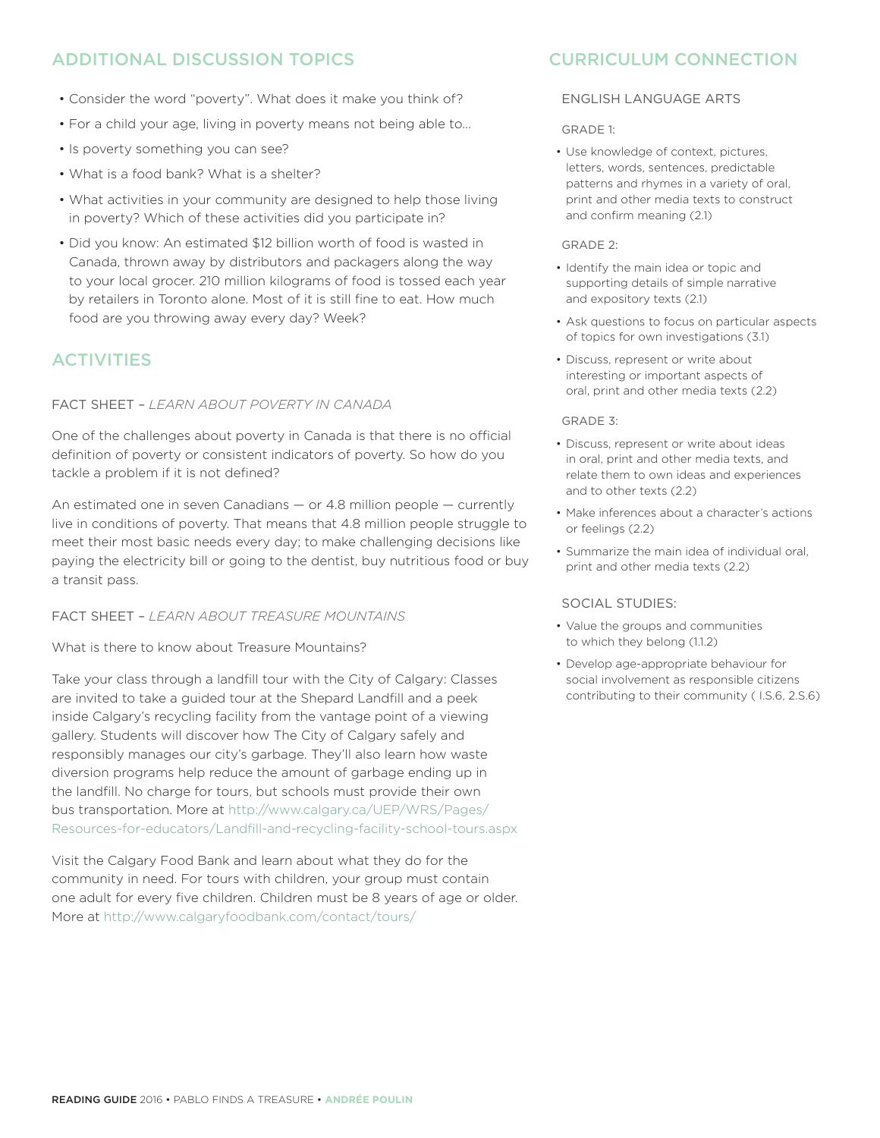## ADDITIONAL DISCUSSION TOPICS

- Consider the word "poverty". What does it make you think of?
- For a child your age, living in poverty means not being able to...
- Is poverty something you can see?
- What is a food bank? What is a shelter?
- What activities in your community are designed to help those living in poverty? Which of these activities did you participate in?
- Did you know: An estimated \$12 billion worth of food is wasted in Canada, thrown away by distributors and packagers along the way to your local grocer. 210 million kilograms of food is tossed each year by retailers in Toronto alone. Most of it is still fine to eat. How much food are you throwing away every day? Week?

## ACTIVITIES

#### FACT SHEET – *LEARN ABOUT POVERTY IN CANADA*

One of the challenges about poverty in Canada is that there is no official definition of poverty or consistent indicators of poverty. So how do you tackle a problem if it is not defined?

An estimated one in seven Canadians — or 4.8 million people — currently live in conditions of poverty. That means that 4.8 million people struggle to meet their most basic needs every day; to make challenging decisions like paying the electricity bill or going to the dentist, buy nutritious food or buy a transit pass.

#### FACT SHEET – *LEARN ABOUT TREASURE MOUNTAINS*

What is there to know about Treasure Mountains?

Take your class through a landfill tour with the City of Calgary: Classes are invited to take a guided tour at the Shepard Landfill and a peek inside Calgary's recycling facility from the vantage point of a viewing gallery. Students will discover how The City of Calgary safely and responsibly manages our city's garbage. They'll also learn how waste diversion programs help reduce the amount of garbage ending up in the landfill. No charge for tours, but schools must provide their own bus transportation. More at http://www.calgary.ca/UEP/WRS/Pages/ Resources-for-educators/Landfill-and-recycling-facility-school-tours.aspx

Visit the Calgary Food Bank and learn about what they do for the community in need. For tours with children, your group must contain one adult for every five children. Children must be 8 years of age or older. More at http://www.calgaryfoodbank.com/contact/tours/

## CURRICULUM CONNECTION

#### ENGLISH LANGUAGE ARTS

GRADE 1:

• Use knowledge of context, pictures, letters, words, sentences, predictable patterns and rhymes in a variety of oral, print and other media texts to construct and confirm meaning (2.1)

#### GRADE 2:

- Identify the main idea or topic and supporting details of simple narrative and expository texts (2.1)
- Ask questions to focus on particular aspects of topics for own investigations (3.1)
- Discuss, represent or write about interesting or important aspects of oral, print and other media texts (2.2)

#### GRADE 3:

- Discuss, represent or write about ideas in oral, print and other media texts, and relate them to own ideas and experiences and to other texts (2.2)
- Make inferences about a character's actions or feelings (2.2)
- Summarize the main idea of individual oral, print and other media texts (2.2)

#### SOCIAL STUDIES:

- Value the groups and communities to which they belong (1.1.2)
- Develop age-appropriate behaviour for social involvement as responsible citizens contributing to their community ( I.S.6, 2.S.6)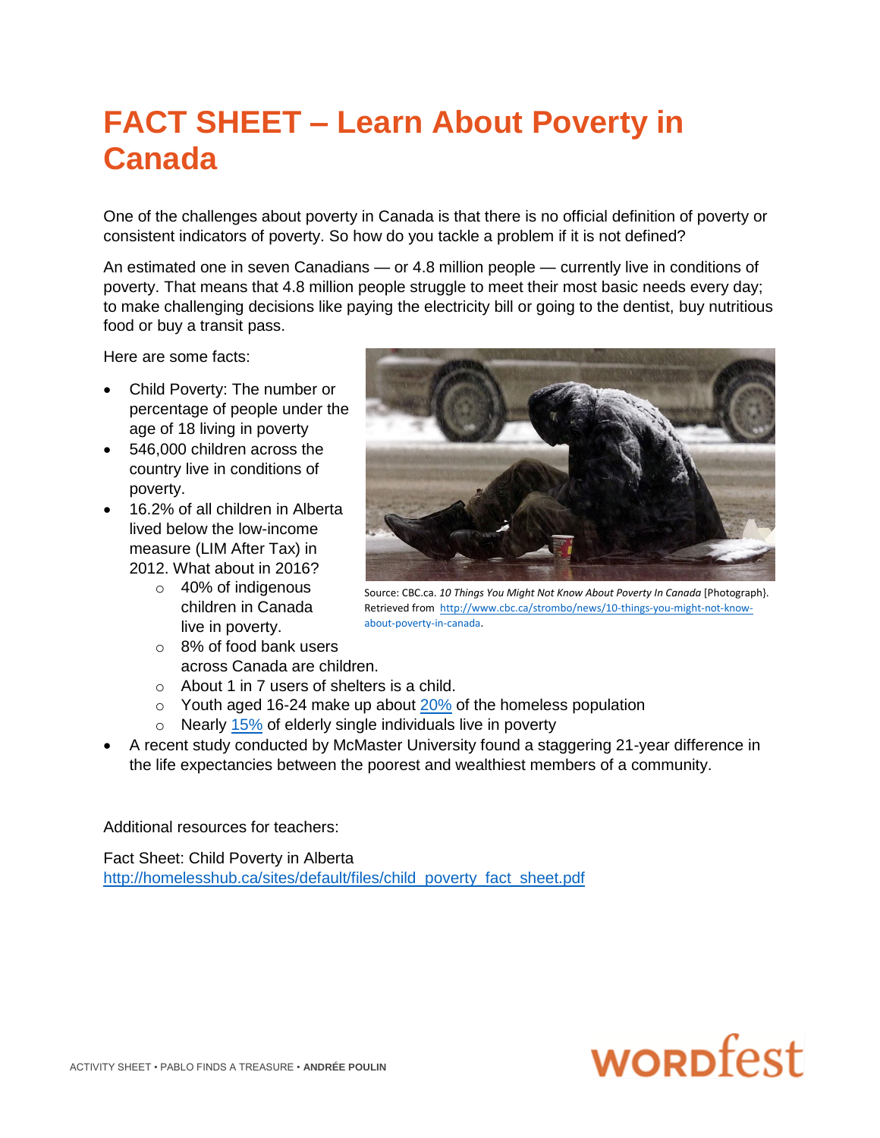## **FACT SHEET – Learn About Poverty in Canada**

One of the challenges about poverty in Canada is that there is no official definition of poverty or consistent indicators of poverty. So how do you tackle a problem if it is not defined?

An estimated one in seven Canadians — or 4.8 million people — currently live in conditions of poverty. That means that 4.8 million people struggle to meet their most basic needs every day; to make challenging decisions like paying the electricity bill or going to the dentist, buy nutritious food or buy a transit pass.

Here are some facts:

- Child Poverty: The number or percentage of people under the age of 18 living in poverty
- 546,000 children across the country live in conditions of poverty.
- 16.2% of all children in Alberta lived below the low-income measure (LIM After Tax) in 2012. What about in 2016?
	- $\circ$  40% of indigenous children in Canada live in poverty.
	- o 8% of food bank users across Canada are children.
	- $\circ$  About 1 in 7 users of shelters is a child.
	- $\circ$  Youth aged 16-24 make up about [20%](http://homelesshub.ca/sites/default/files/SOHC2014.pdf) of the homeless population
	- $\circ$  Nearly [15%](http://www.statcan.gc.ca/tables-tableaux/sum-som/l01/cst01/famil19a-eng.htm) of elderly single individuals live in poverty
- A recent study conducted by McMaster University found a staggering 21-year difference in the life expectancies between the poorest and wealthiest members of a community.

Additional resources for teachers:

Fact Sheet: Child Poverty in Alberta [http://homelesshub.ca/sites/default/files/child\\_poverty\\_fact\\_sheet.pdf](http://homelesshub.ca/sites/default/files/child_poverty_fact_sheet.pdf)



Source: CBC.ca. *10 Things You Might Not Know About Poverty In Canada* [Photograph}. Retrieved from [http://www.cbc.ca/strombo/news/10-things-you-might-not-know](http://www.cbc.ca/strombo/news/10-things-you-might-not-know-about-poverty-in-canada)[about-poverty-in-canada.](http://www.cbc.ca/strombo/news/10-things-you-might-not-know-about-poverty-in-canada)